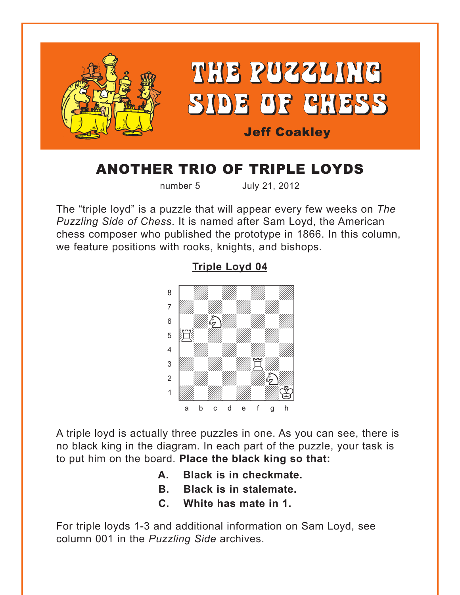<span id="page-0-0"></span>

# ANOTHER TRIO OF TRIPLE LOYDS

number 5 July 21, 2012

The "triple loyd" is a puzzle that will appear every few weeks on *The Puzzling Side of Chess*. It is named after Sam Loyd, the American chess composer who published the prototype in 1866. In this column, we feature positions with rooks, knights, and bishops.



### **[Triple Loyd 04](#page-3-0)**

A triple loyd is actually three puzzles in one. As you can see, there is no black king in the diagram. In each part of the puzzle, your task is to put him on the board. **Place the black king so that:**

- **A. Black is in checkmate.**
- **B. Black is in stalemate.**
- **C. White has mate in 1.**

For triple loyds 1-3 and additional information on Sam Loyd, see column 001 in the *Puzzling Side* archives.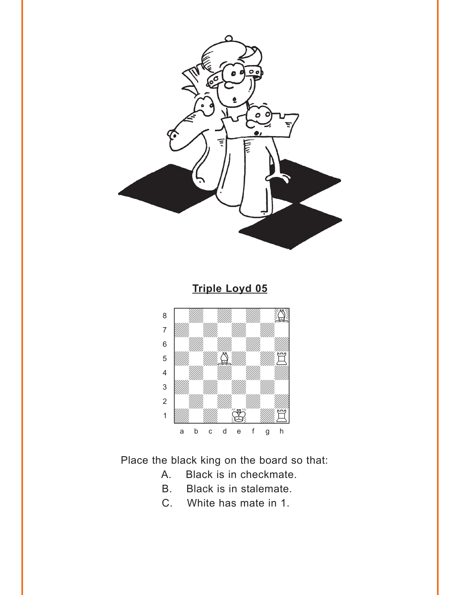<span id="page-1-0"></span>

**Triple Loyd 05** 



Place the black king on the board so that:

- Black is in checkmate. A.
- **B**. Black is in stalemate.
- C. White has mate in 1.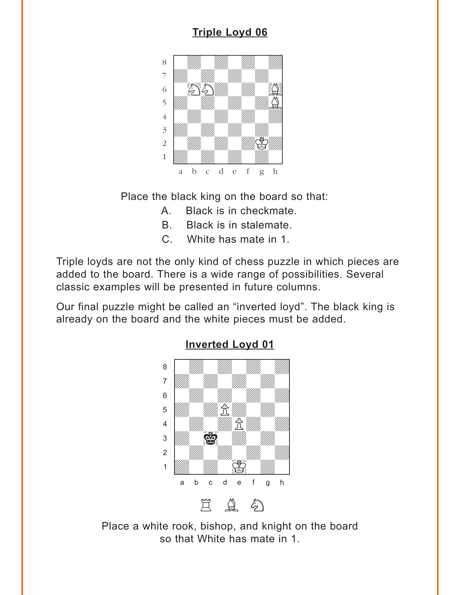## **[Triple Loyd 06](#page-4-0)**

<span id="page-2-0"></span>

Place the black king on the board so that:

- A. Black is in checkmate.
- B. Black is in stalemate.
- C. White has mate in 1.

Triple loyds are not the only kind of chess puzzle in which pieces are added to the board. There is a wide range of possibilities. Several classic examples will be presented in future columns.

Our final puzzle might be called an "inverted loyd". The black king is already on the board and the white pieces must be added.



Place a white rook, bishop, and knight on the board so that White has mate in 1.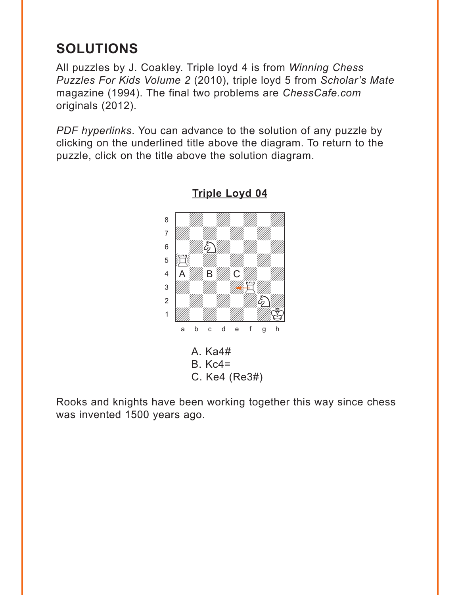# <span id="page-3-0"></span>**SOLUTIONS**

All puzzles by J. Coakley. Triple loyd 4 is from *Winning Chess Puzzles For Kids Volume 2* (2010), triple loyd 5 from *Scholar's Mate* magazine (1994). The final two problems are *ChessCafe.com* originals (2012).

*PDF hyperlinks*. You can advance to the solution of any puzzle by clicking on the underlined title above the diagram. To return to the puzzle, click on the title above the solution diagram.



**[Triple Loyd 04](#page-0-0)**

Rooks and knights have been working together this way since chess was invented 1500 years ago.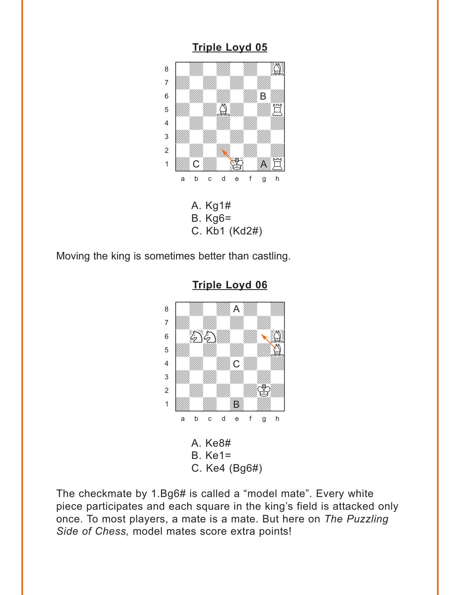### **[Triple Loyd 05](#page-1-0)**

<span id="page-4-0"></span>

Moving the king is sometimes better than castling.



**[Triple Loyd 06](#page-2-0)**

The checkmate by 1.Bg6# is called a "model mate". Every white piece participates and each square in the king's field is attacked only once. To most players, a mate is a mate. But here on *The Puzzling Side of Chess,* model mates score extra points!